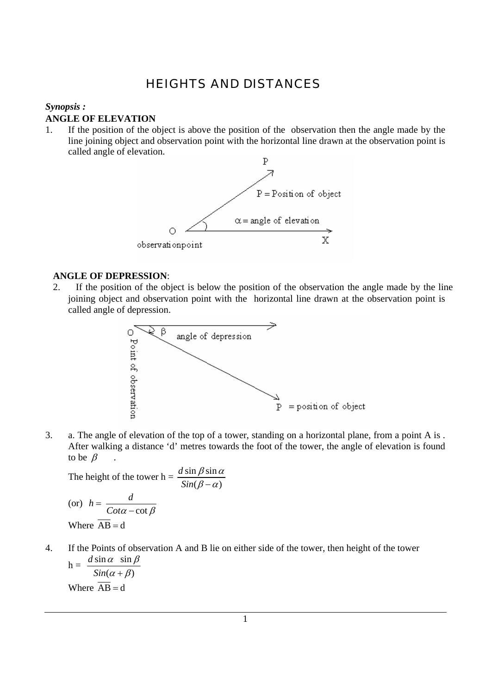## HEIGHTS AND DISTANCES

## *Synopsis :*

## **ANGLE OF ELEVATION**

1. If the position of the object is above the position of the observation then the angle made by the line joining object and observation point with the horizontal line drawn at the observation point is called angle of elevation.



## **ANGLE OF DEPRESSION**:

2. If the position of the object is below the position of the observation the angle made by the line joining object and observation point with the horizontal line drawn at the observation point is called angle of depression.



3. a. The angle of elevation of the top of a tower, standing on a horizontal plane, from a point A is . After walking a distance 'd' metres towards the foot of the tower, the angle of elevation is found to be  $\beta$ 

The height of the tower h =  $\frac{d \sin \beta \sin}{dx}$  $(\beta - \alpha)$ *d Sin*  $\beta$  sin  $\alpha$  $\beta - \alpha$ 

(or) 
$$
h = \frac{d}{Cot\alpha - \cot\beta}
$$
  
Where  $\overline{AB} = d$ 

4. If the Points of observation A and B lie on either side of the tower, then height of the tower *d*  $\alpha$  sin  $\beta$ 

 $h = \frac{d \sin \alpha \sin \alpha}{d \sin \alpha}$  $(\alpha + \beta)$ *Sin*  $\alpha + \beta$ Where  $\overline{AB} = d$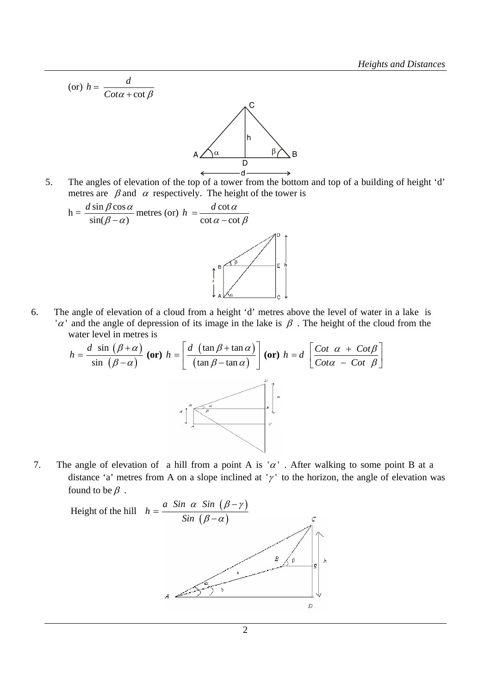(or) 
$$
h = \frac{d}{\cot \alpha + \cot \beta}
$$

\nA  $\sqrt{\alpha}$ 

\nb

\nc

\nd

\n

5. The angles of elevation of the top of a tower from the bottom and top of a building of height 'd' metres are  $\beta$  and  $\alpha$  respectively. The height of the tower is



6. The angle of elevation of a cloud from a height 'd' metres above the level of water in a lake is ' $\alpha$ ' and the angle of depression of its image in the lake is  $\beta$ . The height of the cloud from the water level in metres is

$$
h = \frac{d \sin (\beta + \alpha)}{\sin (\beta - \alpha)} \text{ (or) } h = \left[ \frac{d (\tan \beta + \tan \alpha)}{(\tan \beta - \tan \alpha)} \right] \text{ (or) } h = d \left[ \frac{\text{Cot } \alpha + \text{Cot} \beta}{\text{Cot} \alpha - \text{Cot } \beta} \right]
$$

7. The angle of elevation of a hill from a point A is ' $\alpha$ '. After walking to some point B at a distance 'a' metres from A on a slope inclined at ' $\gamma$ ' to the horizon, the angle of elevation was found to be  $\beta$ .